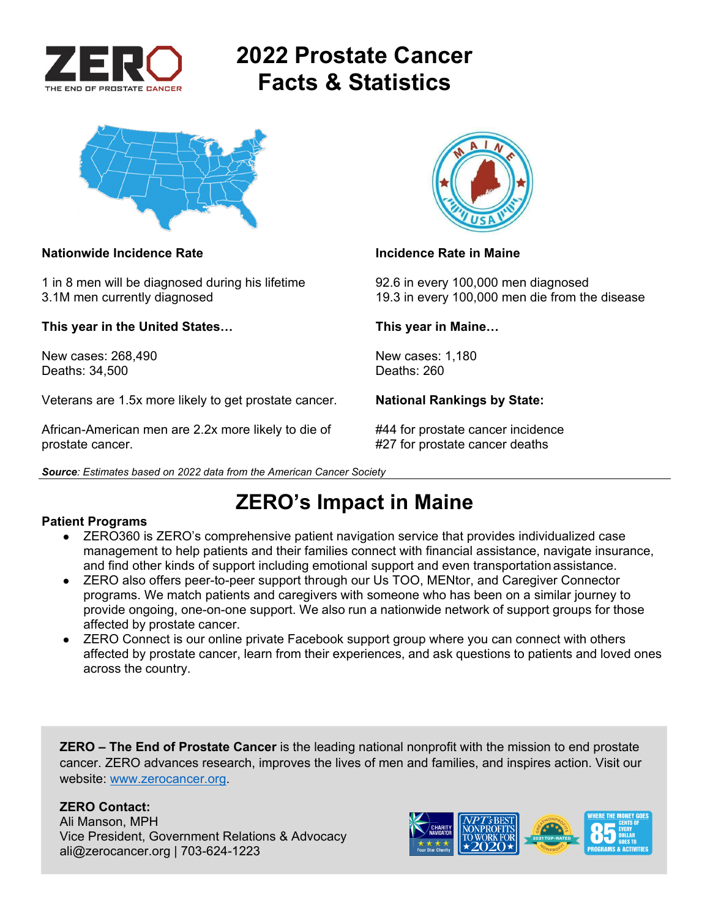

# **2022 Prostate Cancer Facts & Statistics**



### **Nationwide Incidence Rate Incidence Rate in Maine**

1 in 8 men will be diagnosed during his lifetime 92.6 in every 100,000 men diagnosed

**This year in the United States… This year in Maine…** 

New cases: 268,490 New cases: 1,180<br>Deaths: 34.500 Deaths: 260 Deaths: 34,500

Veterans are 1.5x more likely to get prostate cancer. **National Rankings by State:** 

African-American men are 2.2x more likely to die of #44 for prostate cancer incidence prostate cancer. #27 for prostate cancer deaths

*Source: Estimates based on 2022 data from the American Cancer Society* 



3.1M men currently diagnosed 19.3 in every 100,000 men die from the disease

## **ZERO's Impact in Maine**

### **Patient Programs**

- ZERO360 is ZERO's comprehensive patient navigation service that provides individualized case management to help patients and their families connect with financial assistance, navigate insurance, and find other kinds of support including emotional support and even transportation assistance.
- ZERO also offers peer-to-peer support through our Us TOO, MENtor, and Caregiver Connector programs. We match patients and caregivers with someone who has been on a similar journey to provide ongoing, one-on-one support. We also run a nationwide network of support groups for those affected by prostate cancer.
- ZERO Connect is our online private Facebook support group where you can connect with others affected by prostate cancer, learn from their experiences, and ask questions to patients and loved ones across the country.

**ZERO – The End of Prostate Cancer** is the leading national nonprofit with the mission to end prostate cancer. ZERO advances research, improves the lives of men and families, and inspires action. Visit our website: www.zerocancer.org.

### **ZERO Contact:**

Ali Manson, MPH Vice President, Government Relations & Advocacy ali@zerocancer.org | 703-624-1223